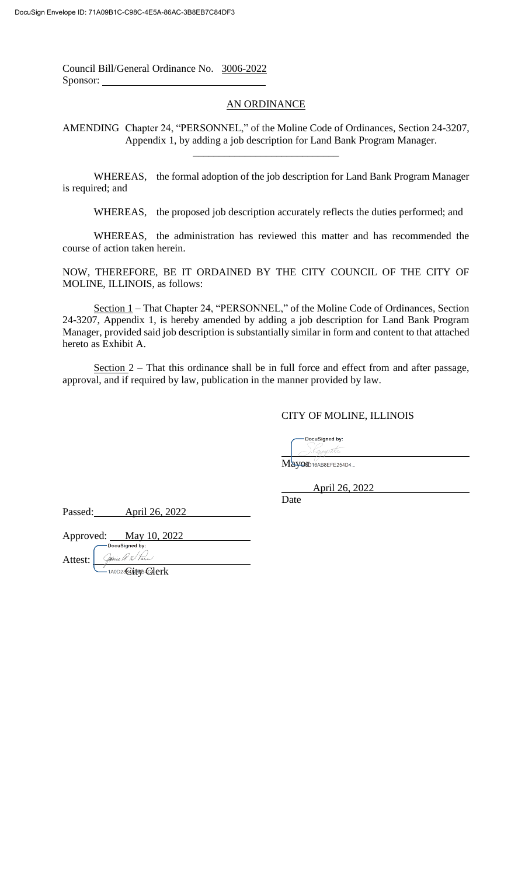Council Bill/General Ordinance No. 3006-2022 Sponsor:

## AN ORDINANCE

AMENDING Chapter 24, "PERSONNEL," of the Moline Code of Ordinances, Section 24-3207, Appendix 1, by adding a job description for Land Bank Program Manager.

\_\_\_\_\_\_\_\_\_\_\_\_\_\_\_\_\_\_\_\_\_\_\_\_\_\_\_\_

WHEREAS, the formal adoption of the job description for Land Bank Program Manager is required; and

WHEREAS, the proposed job description accurately reflects the duties performed; and

WHEREAS, the administration has reviewed this matter and has recommended the course of action taken herein.

NOW, THEREFORE, BE IT ORDAINED BY THE CITY COUNCIL OF THE CITY OF MOLINE, ILLINOIS, as follows:

Section 1 – That Chapter 24, "PERSONNEL," of the Moline Code of Ordinances, Section 24-3207, Appendix 1, is hereby amended by adding a job description for Land Bank Program Manager, provided said job description is substantially similar in form and content to that attached hereto as Exhibit A.

Section 2 – That this ordinance shall be in full force and effect from and after passage, approval, and if required by law, publication in the manner provided by law.

## CITY OF MOLINE, ILLINOIS

DocuSianed by: ).Kayap<del>ille</del>

Mayord16AB8EFE254D4...

April 26, 2022

Date

Passed: April 26, 2022

Approved: May 10, 2022

Attest:

\_\_<br>0D23@P\$pRB@Perk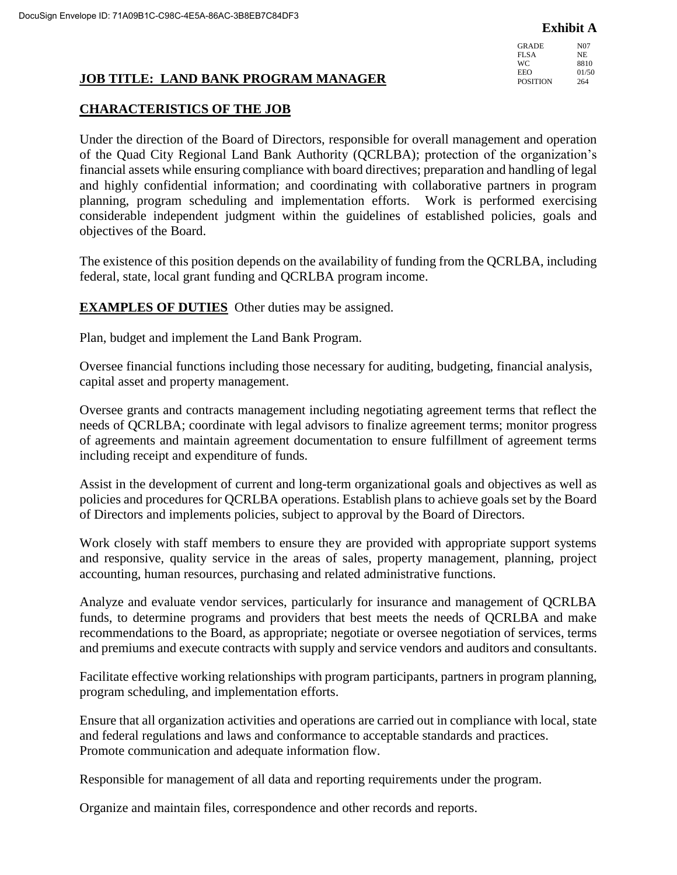**Exhibit A**

GRADE N07<br>FLSA NE FLSA<br>WC 8810 EEO 01/50 POSITION 264

# **JOB TITLE: LAND BANK PROGRAM MANAGER**

## **CHARACTERISTICS OF THE JOB**

Under the direction of the Board of Directors, responsible for overall management and operation of the Quad City Regional Land Bank Authority (QCRLBA); protection of the organization's financial assets while ensuring compliance with board directives; preparation and handling of legal and highly confidential information; and coordinating with collaborative partners in program planning, program scheduling and implementation efforts. Work is performed exercising considerable independent judgment within the guidelines of established policies, goals and objectives of the Board.

The existence of this position depends on the availability of funding from the QCRLBA, including federal, state, local grant funding and QCRLBA program income.

**EXAMPLES OF DUTIES** Other duties may be assigned.

Plan, budget and implement the Land Bank Program.

Oversee financial functions including those necessary for auditing, budgeting, financial analysis, capital asset and property management.

Oversee grants and contracts management including negotiating agreement terms that reflect the needs of QCRLBA; coordinate with legal advisors to finalize agreement terms; monitor progress of agreements and maintain agreement documentation to ensure fulfillment of agreement terms including receipt and expenditure of funds.

Assist in the development of current and long-term organizational goals and objectives as well as policies and procedures for QCRLBA operations. Establish plans to achieve goals set by the Board of Directors and implements policies, subject to approval by the Board of Directors.

Work closely with staff members to ensure they are provided with appropriate support systems and responsive, quality service in the areas of sales, property management, planning, project accounting, human resources, purchasing and related administrative functions.

Analyze and evaluate vendor services, particularly for insurance and management of QCRLBA funds, to determine programs and providers that best meets the needs of QCRLBA and make recommendations to the Board, as appropriate; negotiate or oversee negotiation of services, terms and premiums and execute contracts with supply and service vendors and auditors and consultants.

Facilitate effective working relationships with program participants, partners in program planning, program scheduling, and implementation efforts.

Ensure that all organization activities and operations are carried out in compliance with local, state and federal regulations and laws and conformance to acceptable standards and practices. Promote communication and adequate information flow.

Responsible for management of all data and reporting requirements under the program.

Organize and maintain files, correspondence and other records and reports.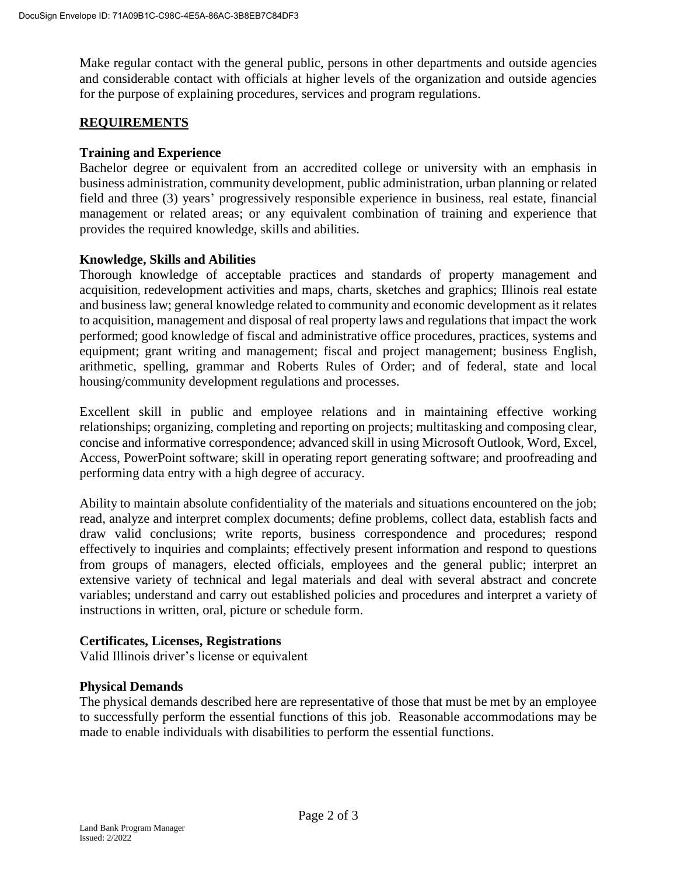Make regular contact with the general public, persons in other departments and outside agencies and considerable contact with officials at higher levels of the organization and outside agencies for the purpose of explaining procedures, services and program regulations.

### **REQUIREMENTS**

### **Training and Experience**

Bachelor degree or equivalent from an accredited college or university with an emphasis in business administration, community development, public administration, urban planning or related field and three (3) years' progressively responsible experience in business, real estate, financial management or related areas; or any equivalent combination of training and experience that provides the required knowledge, skills and abilities.

### **Knowledge, Skills and Abilities**

Thorough knowledge of acceptable practices and standards of property management and acquisition, redevelopment activities and maps, charts, sketches and graphics; Illinois real estate and business law; general knowledge related to community and economic development as it relates to acquisition, management and disposal of real property laws and regulations that impact the work performed; good knowledge of fiscal and administrative office procedures, practices, systems and equipment; grant writing and management; fiscal and project management; business English, arithmetic, spelling, grammar and Roberts Rules of Order; and of federal, state and local housing/community development regulations and processes.

Excellent skill in public and employee relations and in maintaining effective working relationships; organizing, completing and reporting on projects; multitasking and composing clear, concise and informative correspondence; advanced skill in using Microsoft Outlook, Word, Excel, Access, PowerPoint software; skill in operating report generating software; and proofreading and performing data entry with a high degree of accuracy.

Ability to maintain absolute confidentiality of the materials and situations encountered on the job; read, analyze and interpret complex documents; define problems, collect data, establish facts and draw valid conclusions; write reports, business correspondence and procedures; respond effectively to inquiries and complaints; effectively present information and respond to questions from groups of managers, elected officials, employees and the general public; interpret an extensive variety of technical and legal materials and deal with several abstract and concrete variables; understand and carry out established policies and procedures and interpret a variety of instructions in written, oral, picture or schedule form.

### **Certificates, Licenses, Registrations**

Valid Illinois driver's license or equivalent

### **Physical Demands**

The physical demands described here are representative of those that must be met by an employee to successfully perform the essential functions of this job. Reasonable accommodations may be made to enable individuals with disabilities to perform the essential functions.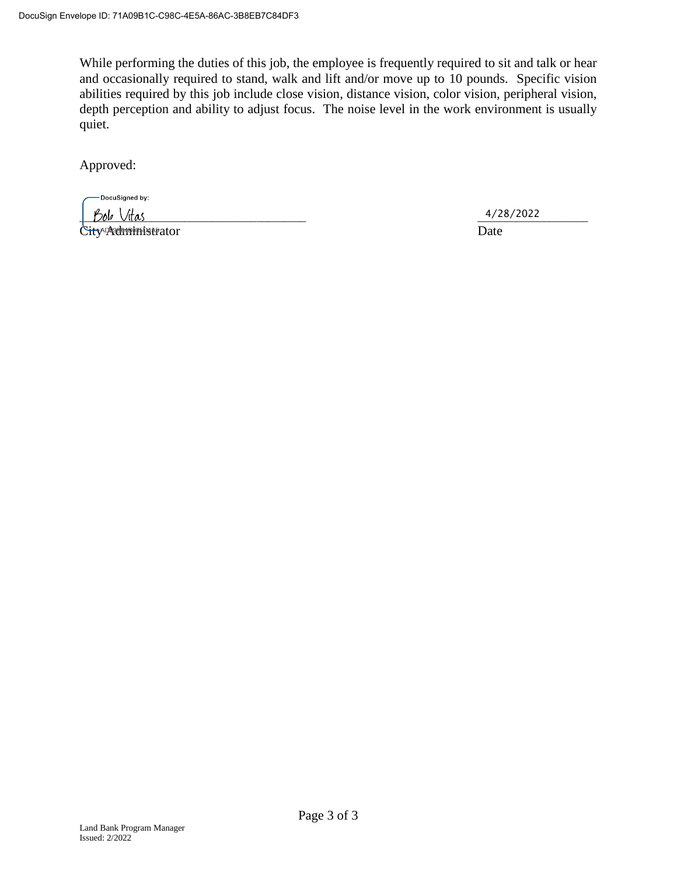While performing the duties of this job, the employee is frequently required to sit and talk or hear and occasionally required to stand, walk and lift and/or move up to 10 pounds. Specific vision abilities required by this job include close vision, distance vision, color vision, peripheral vision, depth perception and ability to adjust focus. The noise level in the work environment is usually quiet.

Approved:

DocuSigned by: \_\_\_\_\_\_\_\_\_\_\_\_\_\_\_\_\_\_\_\_\_\_\_\_\_\_\_\_\_\_\_\_\_\_\_\_\_\_\_\_\_ \_\_\_\_\_\_\_\_\_\_\_\_\_\_\_\_\_\_\_\_ City Administrator Date

4/28/2022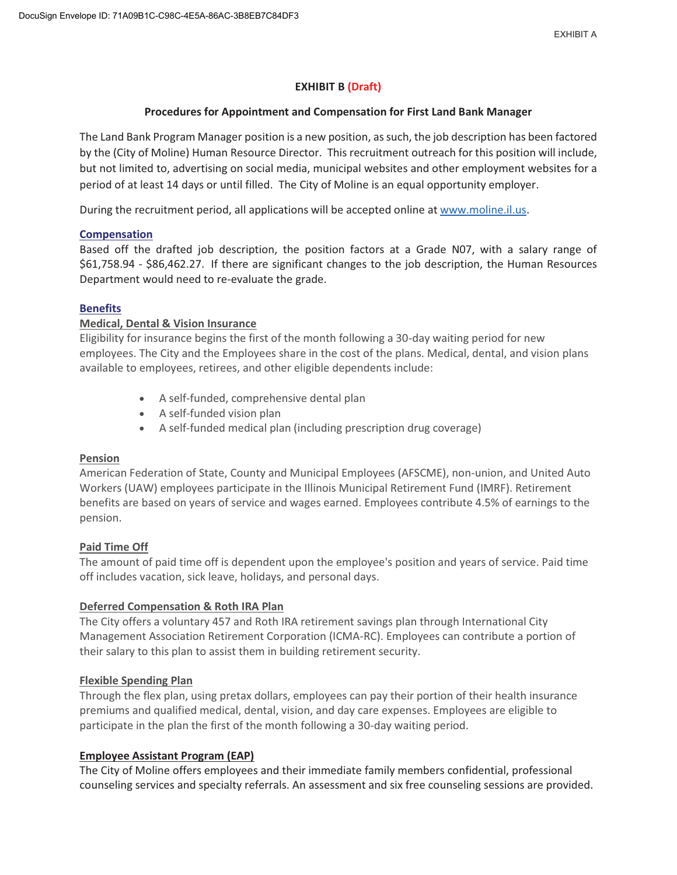### **EXHIBIT B (Draft)**

#### **Procedures for Appointment and Compensation for First Land Bank Manager**

The Land Bank Program Manager position is a new position, as such, the job description has been factored by the (City of Moline) Human Resource Director. This recruitment outreach for this position will include, but not limited to, advertising on social media, municipal websites and other employment websites for a period of at least 14 days or until filled. The City of Moline is an equal opportunity employer.

During the recruitment period, all applications will be accepted online at www.moline.il.us.

#### **Compensation**

Based off the drafted job description, the position factors at a Grade N07, with a salary range of \$61,758.94 - \$86,462.27. If there are significant changes to the job description, the Human Resources Department would need to re-evaluate the grade.

#### **Benefits**

#### **Medical, Dental & Vision Insurance**

Eligibility for insurance begins the first of the month following a 30-day waiting period for new employees. The City and the Employees share in the cost of the plans. Medical, dental, and vision plans available to employees, retirees, and other eligible dependents include:

- A self-funded, comprehensive dental plan
- A self-funded vision plan
- A self-funded medical plan (including prescription drug coverage)

#### **Pension**

American Federation of State, County and Municipal Employees (AFSCME), non-union, and United Auto Workers (UAW) employees participate in the Illinois Municipal Retirement Fund (IMRF). Retirement benefits are based on years of service and wages earned. Employees contribute 4.5% of earnings to the pension.

#### **Paid Time Off**

The amount of paid time off is dependent upon the employee's position and years of service. Paid time off includes vacation, sick leave, holidays, and personal days.

#### **Deferred Compensation & Roth IRA Plan**

The City offers a voluntary 457 and Roth IRA retirement savings plan through International City Management Association Retirement Corporation (ICMA-RC). Employees can contribute a portion of their salary to this plan to assist them in building retirement security.

#### **Flexible Spending Plan**

Through the flex plan, using pretax dollars, employees can pay their portion of their health insurance premiums and qualified medical, dental, vision, and day care expenses. Employees are eligible to participate in the plan the first of the month following a 30-day waiting period.

#### **Employee Assistant Program (EAP)**

The City of Moline offers employees and their immediate family members confidential, professional counseling services and specialty referrals. An assessment and six free counseling sessions are provided.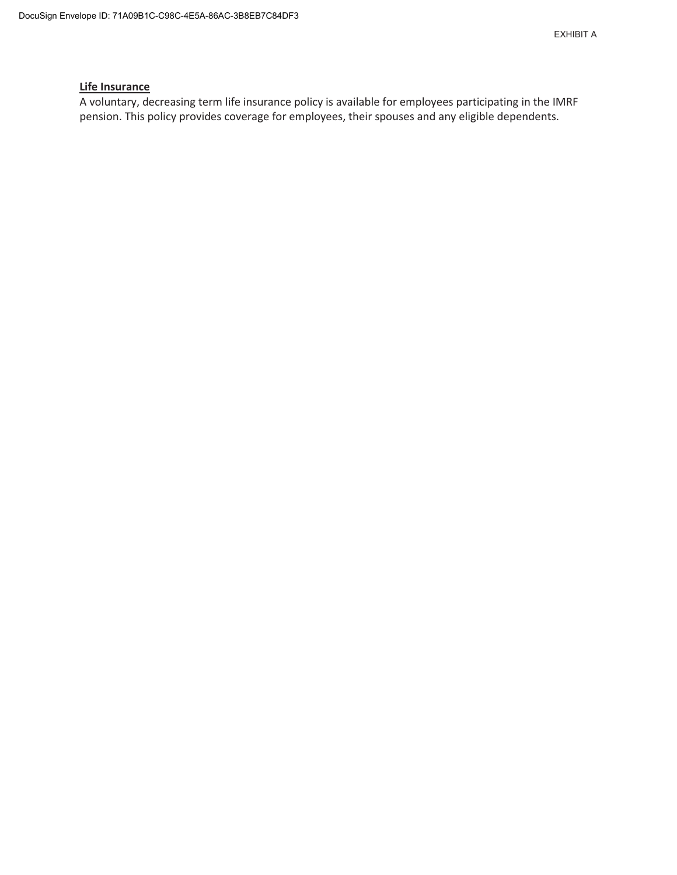#### **Life Insurance**

A voluntary, decreasing term life insurance policy is available for employees participating in the IMRF pension. This policy provides coverage for employees, their spouses and any eligible dependents.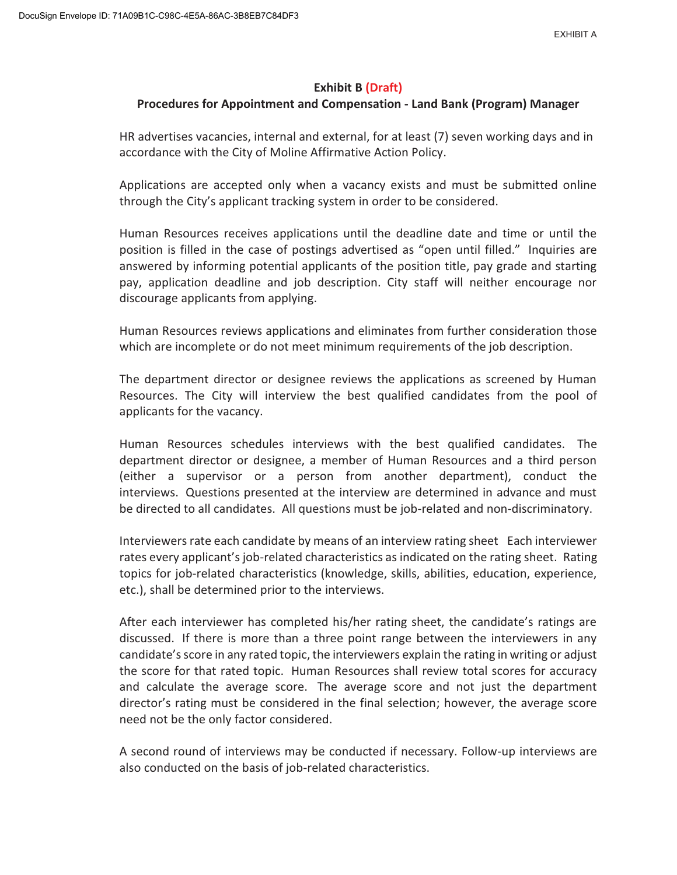### **Exhibit B (Draft)**

## **Procedures for Appointment and Compensation - Land Bank (Program) Manager**

HR advertises vacancies, internal and external, for at least (7) seven working days and in accordance with the City of Moline Affirmative Action Policy.

Applications are accepted only when a vacancy exists and must be submitted online through the City's applicant tracking system in order to be considered.

Human Resources receives applications until the deadline date and time or until the position is filled in the case of postings advertised as "open until filled." Inquiries are answered by informing potential applicants of the position title, pay grade and starting pay, application deadline and job description. City staff will neither encourage nor discourage applicants from applying.

Human Resources reviews applications and eliminates from further consideration those which are incomplete or do not meet minimum requirements of the job description.

The department director or designee reviews the applications as screened by Human Resources. The City will interview the best qualified candidates from the pool of applicants for the vacancy.

Human Resources schedules interviews with the best qualified candidates. The department director or designee, a member of Human Resources and a third person (either a supervisor or a person from another department), conduct the interviews. Questions presented at the interview are determined in advance and must be directed to all candidates. All questions must be job-related and non-discriminatory.

Interviewers rate each candidate by means of an interview rating sheet Each interviewer rates every applicant's job-related characteristics as indicated on the rating sheet. Rating topics for job-related characteristics (knowledge, skills, abilities, education, experience, etc.), shall be determined prior to the interviews.

After each interviewer has completed his/her rating sheet, the candidate's ratings are discussed. If there is more than a three point range between the interviewers in any candidate's score in any rated topic, the interviewers explain the rating in writing or adjust the score for that rated topic. Human Resources shall review total scores for accuracy and calculate the average score. The average score and not just the department director's rating must be considered in the final selection; however, the average score need not be the only factor considered.

A second round of interviews may be conducted if necessary. Follow-up interviews are also conducted on the basis of job-related characteristics.